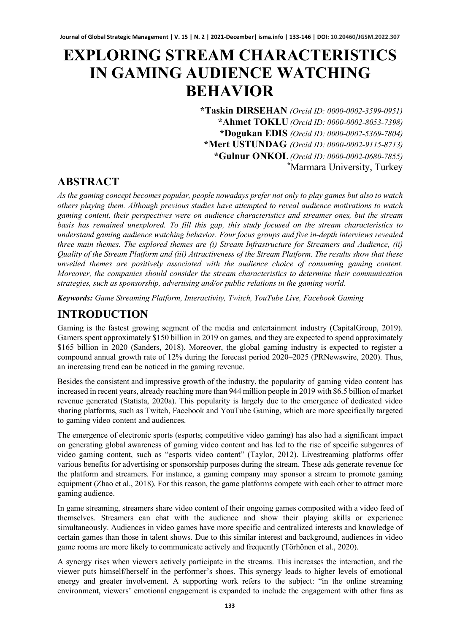# **EXPLORING STREAM CHARACTERISTICS IN GAMING AUDIENCE WATCHING BEHAVIOR**

**\*Taskin DIRSEHAN** *(Orcid ID: 0000-0002-3599-0951)* **\*Ahmet TOKLU** *(Orcid ID: 0000-0002-8053-7398)* **\*Dogukan EDIS** *(Orcid ID: 0000-0002-5369-7804)* **\*Mert USTUNDAG** *(Orcid ID: 0000-0002-9115-8713)* **\*Gulnur ONKOL***(Orcid ID: 0000-0002-0680-7855)* **\*** Marmara University, Turkey

# **ABSTRACT**

*As the gaming concept becomes popular, people nowadays prefer not only to play games but also to watch others playing them. Although previous studies have attempted to reveal audience motivations to watch gaming content, their perspectives were on audience characteristics and streamer ones, but the stream basis has remained unexplored. To fill this gap, this study focused on the stream characteristics to understand gaming audience watching behavior. Four focus groups and five in-depth interviews revealed three main themes. The explored themes are (i) Stream Infrastructure for Streamers and Audience, (ii) Quality of the Stream Platform and (iii) Attractiveness of the Stream Platform. The results show that these unveiled themes are positively associated with the audience choice of consuming gaming content. Moreover, the companies should consider the stream characteristics to determine their communication strategies, such as sponsorship, advertising and/or public relations in the gaming world.* 

*Keywords: Game Streaming Platform, Interactivity, Twitch, YouTube Live, Facebook Gaming*

# **INTRODUCTION**

Gaming is the fastest growing segment of the media and entertainment industry (CapitalGroup, 2019). Gamers spent approximately \$150 billion in 2019 on games, and they are expected to spend approximately \$165 billion in 2020 (Sanders, 2018). Moreover, the global gaming industry is expected to register a compound annual growth rate of 12% during the forecast period 2020–2025 (PRNewswire, 2020). Thus, an increasing trend can be noticed in the gaming revenue.

Besides the consistent and impressive growth of the industry, the popularity of gaming video content has increased in recent years, already reaching more than 944 million people in 2019 with \$6.5 billion of market revenue generated (Statista, 2020a). This popularity is largely due to the emergence of dedicated video sharing platforms, such as Twitch, Facebook and YouTube Gaming, which are more specifically targeted to gaming video content and audiences.

The emergence of electronic sports (esports; competitive video gaming) has also had a significant impact on generating global awareness of gaming video content and has led to the rise of specific subgenres of video gaming content, such as "esports video content" (Taylor, 2012). Livestreaming platforms offer various benefits for advertising or sponsorship purposes during the stream. These ads generate revenue for the platform and streamers. For instance, a gaming company may sponsor a stream to promote gaming equipment (Zhao et al., 2018). For this reason, the game platforms compete with each other to attract more gaming audience.

In game streaming, streamers share video content of their ongoing games composited with a video feed of themselves. Streamers can chat with the audience and show their playing skills or experience simultaneously. Audiences in video games have more specific and centralized interests and knowledge of certain games than those in talent shows. Due to this similar interest and background, audiences in video game rooms are more likely to communicate actively and frequently (Törhönen et al., 2020).

A synergy rises when viewers actively participate in the streams. This increases the interaction, and the viewer puts himself/herself in the performer's shoes. This synergy leads to higher levels of emotional energy and greater involvement. A supporting work refers to the subject: "in the online streaming environment, viewers' emotional engagement is expanded to include the engagement with other fans as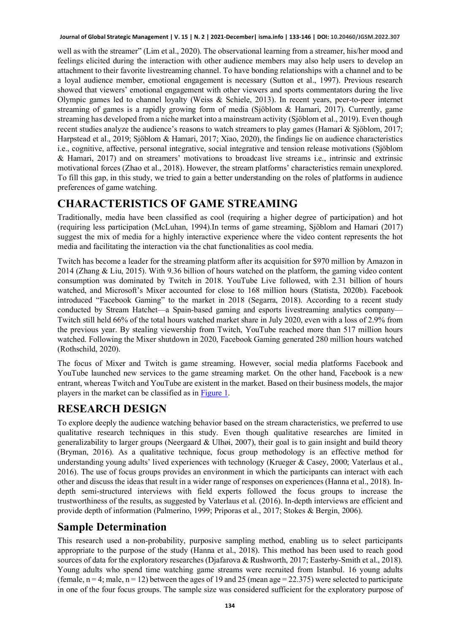well as with the streamer" (Lim et al., 2020). The observational learning from a streamer, his/her mood and feelings elicited during the interaction with other audience members may also help users to develop an attachment to their favorite livestreaming channel. To have bonding relationships with a channel and to be a loyal audience member, emotional engagement is necessary (Sutton et al., 1997). Previous research showed that viewers' emotional engagement with other viewers and sports commentators during the live Olympic games led to channel loyalty (Weiss & Schiele, 2013). In recent years, peer-to-peer internet streaming of games is a rapidly growing form of media (Sjöblom & Hamari, 2017). Currently, game streaming has developed from a niche market into a mainstream activity (Sjöblom et al., 2019). Even though recent studies analyze the audience's reasons to watch streamers to play games (Hamari & Sjöblom, 2017; Harpstead et al., 2019; Sjöblom & Hamari, 2017; Xiao, 2020), the findings lie on audience characteristics i.e., cognitive, affective, personal integrative, social integrative and tension release motivations (Sjöblom & Hamari, 2017) and on streamers' motivations to broadcast live streams i.e., intrinsic and extrinsic motivational forces (Zhao et al., 2018). However, the stream platforms' characteristics remain unexplored. To fill this gap, in this study, we tried to gain a better understanding on the roles of platforms in audience preferences of game watching.

# **CHARACTERISTICS OF GAME STREAMING**

Traditionally, media have been classified as cool (requiring a higher degree of participation) and hot (requiring less participation (McLuhan, 1994).In terms of game streaming, Sjöblom and Hamari (2017) suggest the mix of media for a highly interactive experience where the video content represents the hot media and facilitating the interaction via the chat functionalities as cool media.

Twitch has become a leader for the streaming platform after its acquisition for \$970 million by Amazon in 2014 (Zhang & Liu, 2015). With 9.36 billion of hours watched on the platform, the gaming video content consumption was dominated by Twitch in 2018. YouTube Live followed, with 2.31 billion of hours watched, and Microsoft's Mixer accounted for close to 168 million hours (Statista, 2020b). Facebook introduced "Facebook Gaming" to the market in 2018 (Segarra, 2018). According to a recent study conducted by Stream Hatchet—a Spain-based gaming and esports livestreaming analytics company— Twitch still held 66% of the total hours watched market share in July 2020, even with a loss of 2.9% from the previous year. By stealing viewership from Twitch, YouTube reached more than 517 million hours watched. Following the Mixer shutdown in 2020, Facebook Gaming generated 280 million hours watched (Rothschild, 2020).

The focus of Mixer and Twitch is game streaming. However, social media platforms Facebook and YouTube launched new services to the game streaming market. On the other hand, Facebook is a new entrant, whereas Twitch and YouTube are existent in the market. Based on their business models, the major players in the market can be classified as in [Figure](#page-11-0) 1.

# **RESEARCH DESIGN**

To explore deeply the audience watching behavior based on the stream characteristics, we preferred to use qualitative research techniques in this study. Even though qualitative researches are limited in generalizability to larger groups (Neergaard & Ulhøi, 2007), their goal is to gain insight and build theory (Bryman, 2016). As a qualitative technique, focus group methodology is an effective method for understanding young adults' lived experiences with technology (Krueger & Casey, 2000; Vaterlaus et al., 2016). The use of focus groups provides an environment in which the participants can interact with each other and discuss the ideas that result in a wider range of responses on experiences (Hanna et al., 2018). Indepth semi-structured interviews with field experts followed the focus groups to increase the trustworthiness of the results, as suggested by Vaterlaus et al. (2016). In-depth interviews are efficient and provide depth of information (Palmerino, 1999; Priporas et al., 2017; Stokes & Bergin, 2006).

# **Sample Determination**

This research used a non-probability, purposive sampling method, enabling us to select participants appropriate to the purpose of the study (Hanna et al., 2018). This method has been used to reach good sources of data for the exploratory researches (Djafarova & Rushworth, 2017; Easterby-Smith et al., 2018). Young adults who spend time watching game streams were recruited from Istanbul. 16 young adults (female,  $n = 4$ ; male,  $n = 12$ ) between the ages of 19 and 25 (mean age = 22.375) were selected to participate in one of the four focus groups. The sample size was considered sufficient for the exploratory purpose of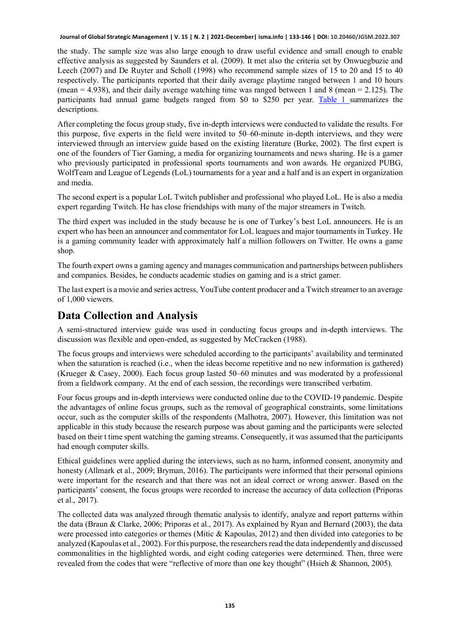the study. The sample size was also large enough to draw useful evidence and small enough to enable effective analysis as suggested by Saunders et al. (2009). It met also the criteria set by Onwuegbuzie and Leech (2007) and De Ruyter and Scholl (1998) who recommend sample sizes of 15 to 20 and 15 to 40 respectively. The participants reported that their daily average playtime ranged between 1 and 10 hours (mean  $= 4.938$ ), and their daily average watching time was ranged between 1 and 8 (mean  $= 2.125$ ). The participants had annual game budgets ranged from \$0 to \$250 per year. [Table 1](#page-12-0) summarizes the descriptions.

After completing the focus group study, five in-depth interviews were conducted to validate the results. For this purpose, five experts in the field were invited to 50–60-minute in-depth interviews, and they were interviewed through an interview guide based on the existing literature (Burke, 2002). The first expert is one of the founders of Tier Gaming, a media for organizing tournaments and news sharing. He is a gamer who previously participated in professional sports tournaments and won awards. He organized PUBG, WolfTeam and League of Legends (LoL) tournaments for a year and a half and is an expert in organization and media.

The second expert is a popular LoL Twitch publisher and professional who played LoL. He is also a media expert regarding Twitch. He has close friendships with many of the major streamers in Twitch.

The third expert was included in the study because he is one of Turkey's best LoL announcers. He is an expert who has been an announcer and commentator for LoL leagues and major tournaments in Turkey. He is a gaming community leader with approximately half a million followers on Twitter. He owns a game shop.

The fourth expert owns a gaming agency and manages communication and partnerships between publishers and companies. Besides, he conducts academic studies on gaming and is a strict gamer.

The last expert is a movie and series actress, YouTube content producer and a Twitch streamer to an average of 1,000 viewers.

#### **Data Collection and Analysis**

A semi-structured interview guide was used in conducting focus groups and in-depth interviews. The discussion was flexible and open-ended, as suggested by McCracken (1988).

The focus groups and interviews were scheduled according to the participants' availability and terminated when the saturation is reached (i.e., when the ideas become repetitive and no new information is gathered) (Krueger & Casey, 2000). Each focus group lasted 50–60 minutes and was moderated by a professional from a fieldwork company. At the end of each session, the recordings were transcribed verbatim.

Four focus groups and in-depth interviews were conducted online due to the COVID-19 pandemic. Despite the advantages of online focus groups, such as the removal of geographical constraints, some limitations occur, such as the computer skills of the respondents (Malhotra, 2007). However, this limitation was not applicable in this study because the research purpose was about gaming and the participants were selected based on their t time spent watching the gaming streams. Consequently, it was assumed that the participants had enough computer skills.

Ethical guidelines were applied during the interviews, such as no harm, informed consent, anonymity and honesty (Allmark et al., 2009; Bryman, 2016). The participants were informed that their personal opinions were important for the research and that there was not an ideal correct or wrong answer. Based on the participants' consent, the focus groups were recorded to increase the accuracy of data collection (Priporas et al., 2017).

The collected data was analyzed through thematic analysis to identify, analyze and report patterns within the data (Braun & Clarke, 2006; Priporas et al., 2017). As explained by Ryan and Bernard (2003), the data were processed into categories or themes (Mitic & Kapoulas, 2012) and then divided into categories to be analyzed (Kapoulas et al., 2002). For this purpose, the researchers read the data independently and discussed commonalities in the highlighted words, and eight coding categories were determined. Then, three were revealed from the codes that were "reflective of more than one key thought" (Hsieh & Shannon, 2005).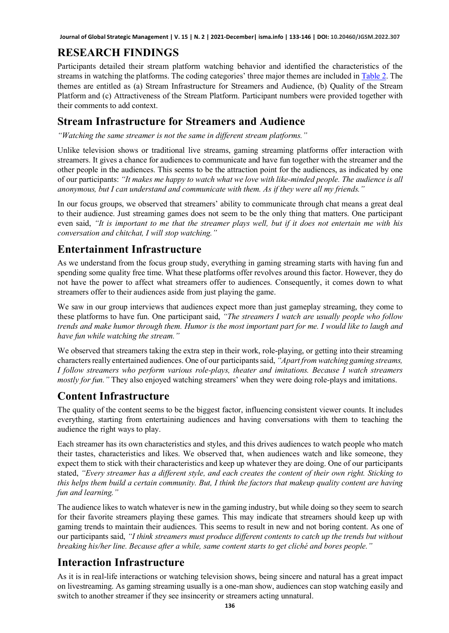# **RESEARCH FINDINGS**

Participants detailed their stream platform watching behavior and identified the characteristics of the streams in watching the platforms. The coding categories' three major themes are included i[n Table 2.](#page-12-1) The themes are entitled as (a) Stream Infrastructure for Streamers and Audience, (b) Quality of the Stream Platform and (c) Attractiveness of the Stream Platform. Participant numbers were provided together with their comments to add context.

# **Stream Infrastructure for Streamers and Audience**

*"Watching the same streamer is not the same in different stream platforms."*

Unlike television shows or traditional live streams, gaming streaming platforms offer interaction with streamers. It gives a chance for audiences to communicate and have fun together with the streamer and the other people in the audiences. This seems to be the attraction point for the audiences, as indicated by one of our participants: *"It makes me happy to watch what we love with like-minded people. The audience is all anonymous, but I can understand and communicate with them. As if they were all my friends."*

In our focus groups, we observed that streamers' ability to communicate through chat means a great deal to their audience. Just streaming games does not seem to be the only thing that matters. One participant even said, *"It is important to me that the streamer plays well, but if it does not entertain me with his conversation and chitchat, I will stop watching."*

# **Entertainment Infrastructure**

As we understand from the focus group study, everything in gaming streaming starts with having fun and spending some quality free time. What these platforms offer revolves around this factor. However, they do not have the power to affect what streamers offer to audiences. Consequently, it comes down to what streamers offer to their audiences aside from just playing the game.

We saw in our group interviews that audiences expect more than just gameplay streaming, they come to these platforms to have fun. One participant said, *"The streamers I watch are usually people who follow trends and make humor through them. Humor is the most important part for me. I would like to laugh and have fun while watching the stream."*

We observed that streamers taking the extra step in their work, role-playing, or getting into their streaming characters really entertained audiences. One of our participants said, *"Apart from watching gaming streams, I follow streamers who perform various role-plays, theater and imitations. Because I watch streamers mostly for fun."* They also enjoyed watching streamers' when they were doing role-plays and imitations.

# **Content Infrastructure**

The quality of the content seems to be the biggest factor, influencing consistent viewer counts. It includes everything, starting from entertaining audiences and having conversations with them to teaching the audience the right ways to play.

Each streamer has its own characteristics and styles, and this drives audiences to watch people who match their tastes, characteristics and likes. We observed that, when audiences watch and like someone, they expect them to stick with their characteristics and keep up whatever they are doing. One of our participants stated, *"Every streamer has a different style, and each creates the content of their own right. Sticking to this helps them build a certain community. But, I think the factors that makeup quality content are having fun and learning."*

The audience likes to watch whatever is new in the gaming industry, but while doing so they seem to search for their favorite streamers playing these games. This may indicate that streamers should keep up with gaming trends to maintain their audiences. This seems to result in new and not boring content. As one of our participants said, *"I think streamers must produce different contents to catch up the trends but without breaking his/her line. Because after a while, same content starts to get cliché and bores people."*

# **Interaction Infrastructure**

As it is in real-life interactions or watching television shows, being sincere and natural has a great impact on livestreaming. As gaming streaming usually is a one-man show, audiences can stop watching easily and switch to another streamer if they see insincerity or streamers acting unnatural.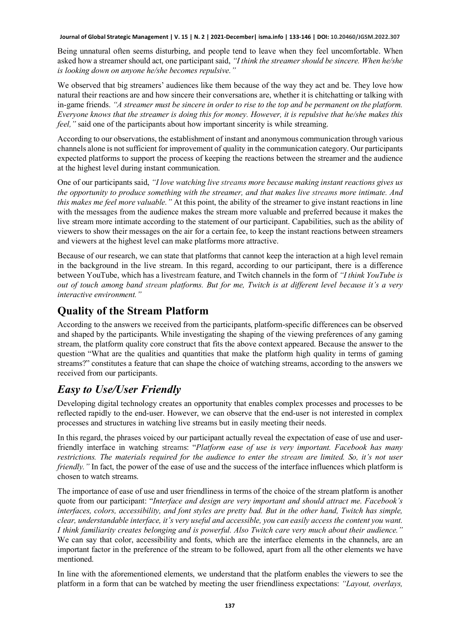Being unnatural often seems disturbing, and people tend to leave when they feel uncomfortable. When asked how a streamer should act, one participant said, *"I think the streamer should be sincere. When he/she is looking down on anyone he/she becomes repulsive."*

We observed that big streamers' audiences like them because of the way they act and be. They love how natural their reactions are and how sincere their conversations are, whether it is chitchatting or talking with in-game friends. *"A streamer must be sincere in order to rise to the top and be permanent on the platform. Everyone knows that the streamer is doing this for money. However, it is repulsive that he/she makes this feel,* " said one of the participants about how important sincerity is while streaming.

According to our observations, the establishment of instant and anonymous communication through various channels alone is not sufficient for improvement of quality in the communication category. Our participants expected platforms to support the process of keeping the reactions between the streamer and the audience at the highest level during instant communication.

One of our participants said, *"I love watching live streams more because making instant reactions gives us the opportunity to produce something with the streamer, and that makes live streams more intimate. And this makes me feel more valuable."* At this point, the ability of the streamer to give instant reactions in line with the messages from the audience makes the stream more valuable and preferred because it makes the live stream more intimate according to the statement of our participant. Capabilities, such as the ability of viewers to show their messages on the air for a certain fee, to keep the instant reactions between streamers and viewers at the highest level can make platforms more attractive.

Because of our research, we can state that platforms that cannot keep the interaction at a high level remain in the background in the live stream. In this regard, according to our participant, there is a difference between YouTube, which has a livestream feature, and Twitch channels in the form of *"I think YouTube is out of touch among band stream platforms. But for me, Twitch is at different level because it's a very interactive environment."*

# **Quality of the Stream Platform**

According to the answers we received from the participants, platform-specific differences can be observed and shaped by the participants. While investigating the shaping of the viewing preferences of any gaming stream, the platform quality core construct that fits the above context appeared. Because the answer to the question "What are the qualities and quantities that make the platform high quality in terms of gaming streams?" constitutes a feature that can shape the choice of watching streams, according to the answers we received from our participants.

# *Easy to Use/User Friendly*

Developing digital technology creates an opportunity that enables complex processes and processes to be reflected rapidly to the end-user. However, we can observe that the end-user is not interested in complex processes and structures in watching live streams but in easily meeting their needs.

In this regard, the phrases voiced by our participant actually reveal the expectation of ease of use and userfriendly interface in watching streams: "*Platform ease of use is very important. Facebook has many restrictions. The materials required for the audience to enter the stream are limited. So, it's not user friendly.*" In fact, the power of the ease of use and the success of the interface influences which platform is chosen to watch streams.

The importance of ease of use and user friendliness in terms of the choice of the stream platform is another quote from our participant: "*Interface and design are very important and should attract me. Facebook's interfaces, colors, accessibility, and font styles are pretty bad. But in the other hand, Twitch has simple, clear, understandable interface, it's very useful and accessible, you can easily access the content you want. I think familiarity creates belonging and is powerful. Also Twitch care very much about their audience."* We can say that color, accessibility and fonts, which are the interface elements in the channels, are an important factor in the preference of the stream to be followed, apart from all the other elements we have mentioned.

In line with the aforementioned elements, we understand that the platform enables the viewers to see the platform in a form that can be watched by meeting the user friendliness expectations: *"Layout, overlays,*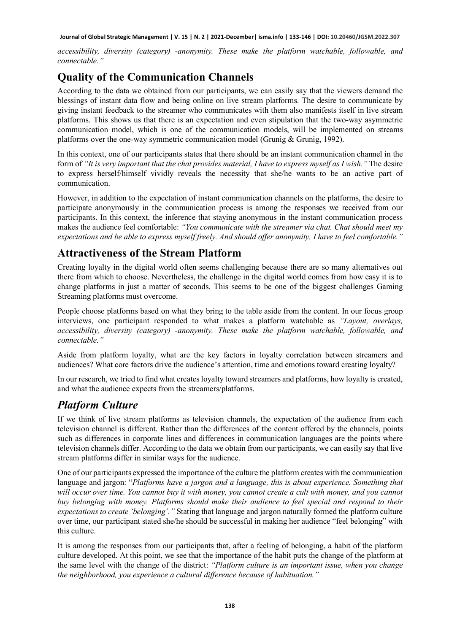*accessibility, diversity (category) -anonymity. These make the platform watchable, followable, and connectable."*

# **Quality of the Communication Channels**

According to the data we obtained from our participants, we can easily say that the viewers demand the blessings of instant data flow and being online on live stream platforms. The desire to communicate by giving instant feedback to the streamer who communicates with them also manifests itself in live stream platforms. This shows us that there is an expectation and even stipulation that the two-way asymmetric communication model, which is one of the communication models, will be implemented on streams platforms over the one-way symmetric communication model (Grunig & Grunig, 1992).

In this context, one of our participants states that there should be an instant communication channel in the form of *"It is very important that the chat provides material, I have to express myself as I wish."* The desire to express herself/himself vividly reveals the necessity that she/he wants to be an active part of communication.

However, in addition to the expectation of instant communication channels on the platforms, the desire to participate anonymously in the communication process is among the responses we received from our participants. In this context, the inference that staying anonymous in the instant communication process makes the audience feel comfortable: *"You communicate with the streamer via chat. Chat should meet my expectations and be able to express myself freely. And should offer anonymity, I have to feel comfortable."*

# **Attractiveness of the Stream Platform**

Creating loyalty in the digital world often seems challenging because there are so many alternatives out there from which to choose. Nevertheless, the challenge in the digital world comes from how easy it is to change platforms in just a matter of seconds. This seems to be one of the biggest challenges Gaming Streaming platforms must overcome.

People choose platforms based on what they bring to the table aside from the content. In our focus group interviews, one participant responded to what makes a platform watchable as *"Layout, overlays, accessibility, diversity (category) -anonymity. These make the platform watchable, followable, and connectable."*

Aside from platform loyalty, what are the key factors in loyalty correlation between streamers and audiences? What core factors drive the audience's attention, time and emotions toward creating loyalty?

In our research, we tried to find what creates loyalty toward streamers and platforms, how loyalty is created, and what the audience expects from the streamers/platforms.

# *Platform Culture*

If we think of live stream platforms as television channels, the expectation of the audience from each television channel is different. Rather than the differences of the content offered by the channels, points such as differences in corporate lines and differences in communication languages are the points where television channels differ. According to the data we obtain from our participants, we can easily say that live stream platforms differ in similar ways for the audience.

One of our participants expressed the importance of the culture the platform creates with the communication language and jargon: "*Platforms have a jargon and a language, this is about experience. Something that will occur over time. You cannot buy it with money, you cannot create a cult with money, and you cannot buy belonging with money. Platforms should make their audience to feel special and respond to their expectations to create 'belonging'."* Stating that language and jargon naturally formed the platform culture over time, our participant stated she/he should be successful in making her audience "feel belonging" with this culture.

It is among the responses from our participants that, after a feeling of belonging, a habit of the platform culture developed. At this point, we see that the importance of the habit puts the change of the platform at the same level with the change of the district: *"Platform culture is an important issue, when you change the neighborhood, you experience a cultural difference because of habituation."*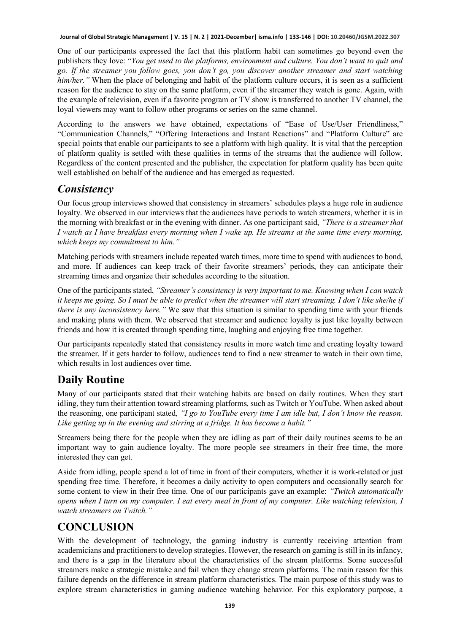One of our participants expressed the fact that this platform habit can sometimes go beyond even the publishers they love: "*You get used to the platforms, environment and culture. You don't want to quit and go. If the streamer you follow goes, you don't go, you discover another streamer and start watching him/her."* When the place of belonging and habit of the platform culture occurs, it is seen as a sufficient reason for the audience to stay on the same platform, even if the streamer they watch is gone. Again, with the example of television, even if a favorite program or TV show is transferred to another TV channel, the loyal viewers may want to follow other programs or series on the same channel.

According to the answers we have obtained, expectations of "Ease of Use/User Friendliness," "Communication Channels," "Offering Interactions and Instant Reactions" and "Platform Culture" are special points that enable our participants to see a platform with high quality. It is vital that the perception of platform quality is settled with these qualities in terms of the streams that the audience will follow. Regardless of the content presented and the publisher, the expectation for platform quality has been quite well established on behalf of the audience and has emerged as requested.

#### *Consistency*

Our focus group interviews showed that consistency in streamers' schedules plays a huge role in audience loyalty. We observed in our interviews that the audiences have periods to watch streamers, whether it is in the morning with breakfast or in the evening with dinner. As one participant said, *"There is a streamer that I watch as I have breakfast every morning when I wake up. He streams at the same time every morning, which keeps my commitment to him."*

Matching periods with streamers include repeated watch times, more time to spend with audiences to bond, and more. If audiences can keep track of their favorite streamers' periods, they can anticipate their streaming times and organize their schedules according to the situation.

One of the participants stated, *"Streamer's consistency is very important to me. Knowing when I can watch it keeps me going. So I must be able to predict when the streamer will start streaming. I don't like she/he if there is any inconsistency here."* We saw that this situation is similar to spending time with your friends and making plans with them. We observed that streamer and audience loyalty is just like loyalty between friends and how it is created through spending time, laughing and enjoying free time together.

Our participants repeatedly stated that consistency results in more watch time and creating loyalty toward the streamer. If it gets harder to follow, audiences tend to find a new streamer to watch in their own time, which results in lost audiences over time.

# **Daily Routine**

Many of our participants stated that their watching habits are based on daily routines. When they start idling, they turn their attention toward streaming platforms, such as Twitch or YouTube. When asked about the reasoning, one participant stated, *"I go to YouTube every time I am idle but, I don't know the reason. Like getting up in the evening and stirring at a fridge. It has become a habit."*

Streamers being there for the people when they are idling as part of their daily routines seems to be an important way to gain audience loyalty. The more people see streamers in their free time, the more interested they can get.

Aside from idling, people spend a lot of time in front of their computers, whether it is work-related or just spending free time. Therefore, it becomes a daily activity to open computers and occasionally search for some content to view in their free time. One of our participants gave an example: *"Twitch automatically opens when I turn on my computer. I eat every meal in front of my computer. Like watching television, I watch streamers on Twitch."*

# **CONCLUSION**

With the development of technology, the gaming industry is currently receiving attention from academicians and practitionersto develop strategies. However, the research on gaming is still in its infancy, and there is a gap in the literature about the characteristics of the stream platforms. Some successful streamers make a strategic mistake and fail when they change stream platforms. The main reason for this failure depends on the difference in stream platform characteristics. The main purpose of this study was to explore stream characteristics in gaming audience watching behavior. For this exploratory purpose, a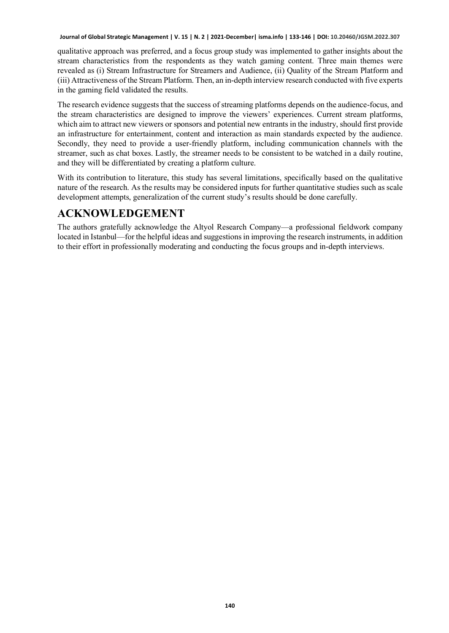qualitative approach was preferred, and a focus group study was implemented to gather insights about the stream characteristics from the respondents as they watch gaming content. Three main themes were revealed as (i) Stream Infrastructure for Streamers and Audience, (ii) Quality of the Stream Platform and (iii) Attractiveness of the Stream Platform. Then, an in-depth interview research conducted with five experts in the gaming field validated the results.

The research evidence suggests that the success of streaming platforms depends on the audience-focus, and the stream characteristics are designed to improve the viewers' experiences. Current stream platforms, which aim to attract new viewers or sponsors and potential new entrants in the industry, should first provide an infrastructure for entertainment, content and interaction as main standards expected by the audience. Secondly, they need to provide a user-friendly platform, including communication channels with the streamer, such as chat boxes. Lastly, the streamer needs to be consistent to be watched in a daily routine, and they will be differentiated by creating a platform culture.

With its contribution to literature, this study has several limitations, specifically based on the qualitative nature of the research. As the results may be considered inputs for further quantitative studies such as scale development attempts, generalization of the current study's results should be done carefully.

# **ACKNOWLEDGEMENT**

The authors gratefully acknowledge the Altyol Research Company—a professional fieldwork company located in Istanbul—for the helpful ideas and suggestions in improving the research instruments, in addition to their effort in professionally moderating and conducting the focus groups and in-depth interviews.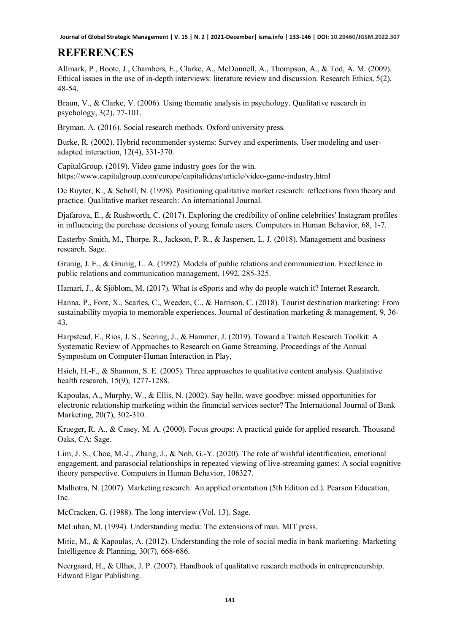# **REFERENCES**

Allmark, P., Boote, J., Chambers, E., Clarke, A., McDonnell, A., Thompson, A., & Tod, A. M. (2009). Ethical issues in the use of in-depth interviews: literature review and discussion. Research Ethics, 5(2), 48-54.

Braun, V., & Clarke, V. (2006). Using thematic analysis in psychology. Qualitative research in psychology, 3(2), 77-101.

Bryman, A. (2016). Social research methods. Oxford university press.

Burke, R. (2002). Hybrid recommender systems: Survey and experiments. User modeling and useradapted interaction, 12(4), 331-370.

CapitalGroup. (2019). Video game industry goes for the win. https://www.capitalgroup.com/europe/capitalideas/article/video-game-industry.html

De Ruyter, K., & Scholl, N. (1998). Positioning qualitative market research: reflections from theory and practice. Qualitative market research: An international Journal.

Djafarova, E., & Rushworth, C. (2017). Exploring the credibility of online celebrities' Instagram profiles in influencing the purchase decisions of young female users. Computers in Human Behavior, 68, 1-7.

Easterby-Smith, M., Thorpe, R., Jackson, P. R., & Jaspersen, L. J. (2018). Management and business research. Sage.

Grunig, J. E., & Grunig, L. A. (1992). Models of public relations and communication. Excellence in public relations and communication management, 1992, 285-325.

Hamari, J., & Sjöblom, M. (2017). What is eSports and why do people watch it? Internet Research.

Hanna, P., Font, X., Scarles, C., Weeden, C., & Harrison, C. (2018). Tourist destination marketing: From sustainability myopia to memorable experiences. Journal of destination marketing & management, 9, 36- 43.

Harpstead, E., Rios, J. S., Seering, J., & Hammer, J. (2019). Toward a Twitch Research Toolkit: A Systematic Review of Approaches to Research on Game Streaming. Proceedings of the Annual Symposium on Computer-Human Interaction in Play,

Hsieh, H.-F., & Shannon, S. E. (2005). Three approaches to qualitative content analysis. Qualitative health research, 15(9), 1277-1288.

Kapoulas, A., Murphy, W., & Ellis, N. (2002). Say hello, wave goodbye: missed opportunities for electronic relationship marketing within the financial services sector? The International Journal of Bank Marketing, 20(7), 302-310.

Krueger, R. A., & Casey, M. A. (2000). Focus groups: A practical guide for applied research. Thousand Oaks, CA: Sage.

Lim, J. S., Choe, M.-J., Zhang, J., & Noh, G.-Y. (2020). The role of wishful identification, emotional engagement, and parasocial relationships in repeated viewing of live-streaming games: A social cognitive theory perspective. Computers in Human Behavior, 106327.

Malhotra, N. (2007). Marketing research: An applied orientation (5th Edition ed.). Pearson Education, Inc.

McCracken, G. (1988). The long interview (Vol. 13). Sage.

McLuhan, M. (1994). Understanding media: The extensions of man. MIT press.

Mitic, M., & Kapoulas, A. (2012). Understanding the role of social media in bank marketing. Marketing Intelligence & Planning, 30(7), 668-686.

Neergaard, H., & Ulhøi, J. P. (2007). Handbook of qualitative research methods in entrepreneurship. Edward Elgar Publishing.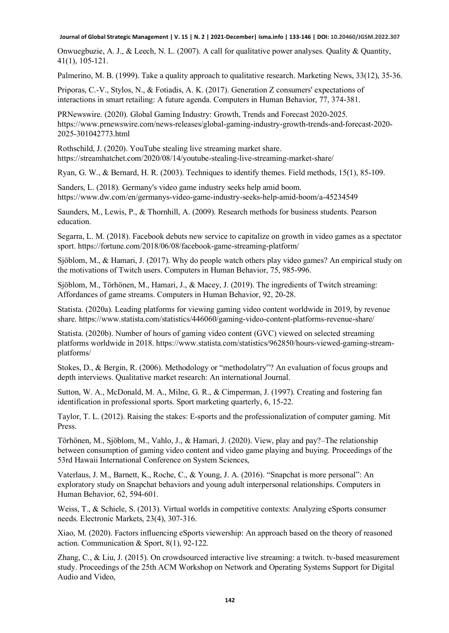Onwuegbuzie, A. J., & Leech, N. L. (2007). A call for qualitative power analyses. Quality & Quantity, 41(1), 105-121.

Palmerino, M. B. (1999). Take a quality approach to qualitative research. Marketing News, 33(12), 35-36.

Priporas, C.-V., Stylos, N., & Fotiadis, A. K. (2017). Generation Z consumers' expectations of interactions in smart retailing: A future agenda. Computers in Human Behavior, 77, 374-381.

PRNewswire. (2020). Global Gaming Industry: Growth, Trends and Forecast 2020-2025. https://www.prnewswire.com/news-releases/global-gaming-industry-growth-trends-and-forecast-2020- 2025-301042773.html

Rothschild, J. (2020). YouTube stealing live streaming market share. https://streamhatchet.com/2020/08/14/youtube-stealing-live-streaming-market-share/

Ryan, G. W., & Bernard, H. R. (2003). Techniques to identify themes. Field methods, 15(1), 85-109.

Sanders, L. (2018). Germany's video game industry seeks help amid boom. https://www.dw.com/en/germanys-video-game-industry-seeks-help-amid-boom/a-45234549

Saunders, M., Lewis, P., & Thornhill, A. (2009). Research methods for business students. Pearson education.

Segarra, L. M. (2018). Facebook debuts new service to capitalize on growth in video games as a spectator sport. https://fortune.com/2018/06/08/facebook-game-streaming-platform/

Sjöblom, M., & Hamari, J. (2017). Why do people watch others play video games? An empirical study on the motivations of Twitch users. Computers in Human Behavior, 75, 985-996.

Sjöblom, M., Törhönen, M., Hamari, J., & Macey, J. (2019). The ingredients of Twitch streaming: Affordances of game streams. Computers in Human Behavior, 92, 20-28.

Statista. (2020a). Leading platforms for viewing gaming video content worldwide in 2019, by revenue share. https://www.statista.com/statistics/446060/gaming-video-content-platforms-revenue-share/

Statista. (2020b). Number of hours of gaming video content (GVC) viewed on selected streaming platforms worldwide in 2018. https://www.statista.com/statistics/962850/hours-viewed-gaming-streamplatforms/

Stokes, D., & Bergin, R. (2006). Methodology or "methodolatry"? An evaluation of focus groups and depth interviews. Qualitative market research: An international Journal.

Sutton, W. A., McDonald, M. A., Milne, G. R., & Cimperman, J. (1997). Creating and fostering fan identification in professional sports. Sport marketing quarterly, 6, 15-22.

Taylor, T. L. (2012). Raising the stakes: E-sports and the professionalization of computer gaming. Mit Press.

Törhönen, M., Sjöblom, M., Vahlo, J., & Hamari, J. (2020). View, play and pay?–The relationship between consumption of gaming video content and video game playing and buying. Proceedings of the 53rd Hawaii International Conference on System Sciences,

Vaterlaus, J. M., Barnett, K., Roche, C., & Young, J. A. (2016). "Snapchat is more personal": An exploratory study on Snapchat behaviors and young adult interpersonal relationships. Computers in Human Behavior, 62, 594-601.

Weiss, T., & Schiele, S. (2013). Virtual worlds in competitive contexts: Analyzing eSports consumer needs. Electronic Markets, 23(4), 307-316.

Xiao, M. (2020). Factors influencing eSports viewership: An approach based on the theory of reasoned action. Communication & Sport, 8(1), 92-122.

Zhang, C., & Liu, J. (2015). On crowdsourced interactive live streaming: a twitch. tv-based measurement study. Proceedings of the 25th ACM Workshop on Network and Operating Systems Support for Digital Audio and Video,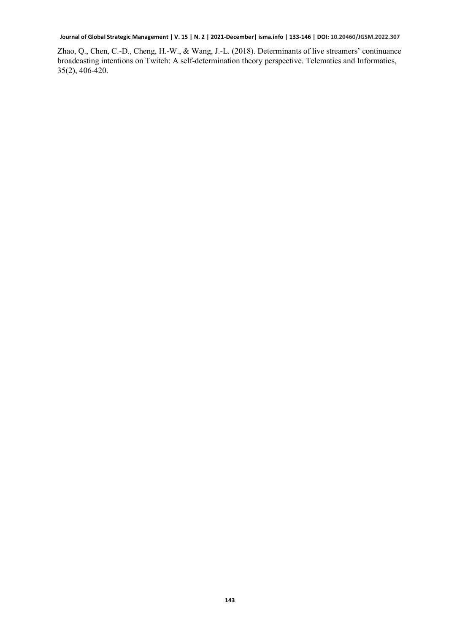Zhao, Q., Chen, C.-D., Cheng, H.-W., & Wang, J.-L. (2018). Determinants of live streamers' continuance broadcasting intentions on Twitch: A self-determination theory perspective. Telematics and Informatics, 35(2), 406-420.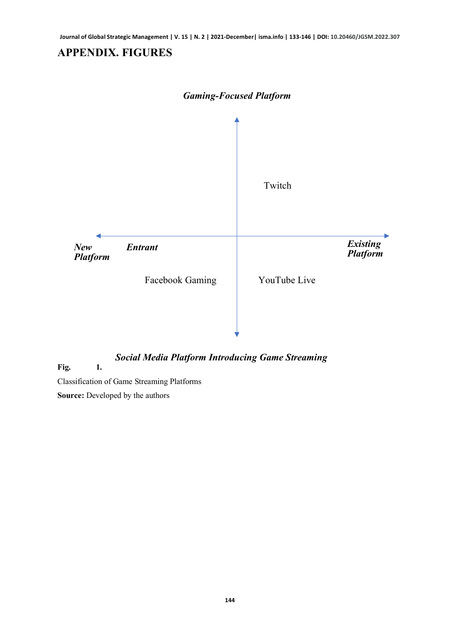# **APPENDIX. FIGURES**



#### *Social Media Platform Introducing Game Streaming*

<span id="page-11-0"></span>**Fig. 1.**

Classification of Game Streaming Platforms

**Source:** Developed by the authors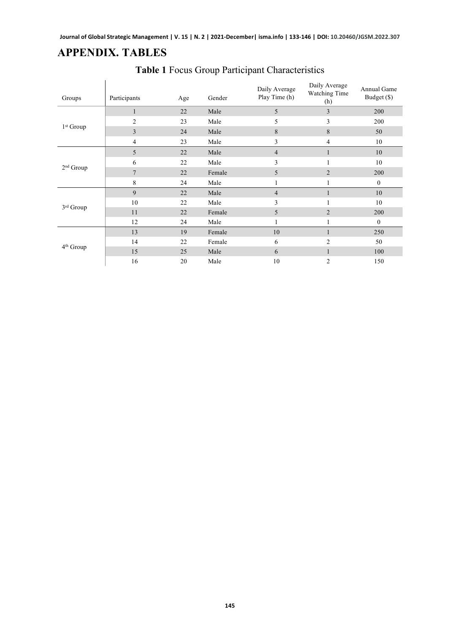# <span id="page-12-0"></span>**APPENDIX. TABLES**

 $\mathcal{L}$ 

<span id="page-12-1"></span>

| Groups                | Participants   | Age | Gender | Daily Average<br>Play Time (h) | Daily Average<br>Watching Time<br>(h) | Annual Game<br>Budget (\$) |
|-----------------------|----------------|-----|--------|--------------------------------|---------------------------------------|----------------------------|
| $1st$ Group           | $\mathbf{1}$   | 22  | Male   | 5                              | 3                                     | 200                        |
|                       | $\overline{2}$ | 23  | Male   | 5                              | 3                                     | 200                        |
|                       | 3              | 24  | Male   | 8                              | 8                                     | 50                         |
|                       | 4              | 23  | Male   | 3                              | 4                                     | 10                         |
| $2nd$ Group           | 5              | 22  | Male   | $\overline{4}$                 | $\mathbf{1}$                          | 10                         |
|                       | 6              | 22  | Male   | 3                              |                                       | 10                         |
|                       | 7              | 22  | Female | 5                              | $\overline{2}$                        | 200                        |
|                       | 8              | 24  | Male   | 1                              |                                       | $\mathbf{0}$               |
| 3rd Group             | 9              | 22  | Male   | $\overline{4}$                 | $\mathbf{1}$                          | 10                         |
|                       | 10             | 22  | Male   | 3                              |                                       | 10                         |
|                       | 11             | 22  | Female | 5                              | $\overline{2}$                        | 200                        |
|                       | 12             | 24  | Male   | 1                              | 1                                     | $\mathbf{0}$               |
| 4 <sup>th</sup> Group | 13             | 19  | Female | 10                             | 1                                     | 250                        |
|                       | 14             | 22  | Female | 6                              | $\overline{2}$                        | 50                         |
|                       | 15             | 25  | Male   | 6                              | 1                                     | 100                        |
|                       | 16             | 20  | Male   | 10                             | $\overline{2}$                        | 150                        |

# **Table 1** Focus Group Participant Characteristics